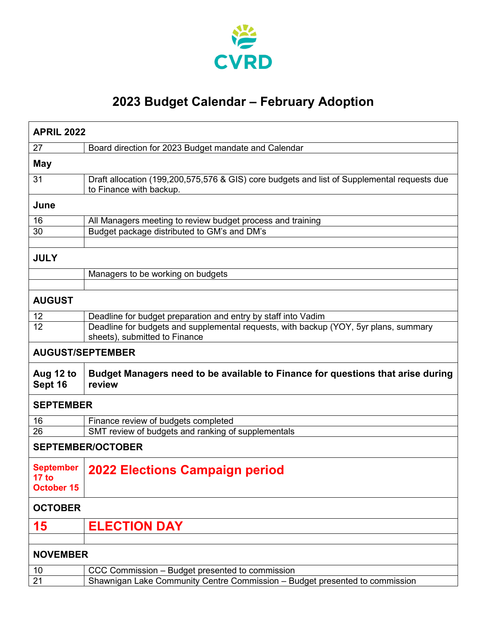

## **2023 Budget Calendar – February Adoption**

| <b>APRIL 2022</b>                       |                                                                                                                                |  |
|-----------------------------------------|--------------------------------------------------------------------------------------------------------------------------------|--|
| 27                                      | Board direction for 2023 Budget mandate and Calendar                                                                           |  |
| <b>May</b>                              |                                                                                                                                |  |
| 31                                      | Draft allocation (199,200,575,576 & GIS) core budgets and list of Supplemental requests due<br>to Finance with backup.         |  |
| June                                    |                                                                                                                                |  |
| 16                                      | All Managers meeting to review budget process and training                                                                     |  |
| 30                                      | Budget package distributed to GM's and DM's                                                                                    |  |
|                                         |                                                                                                                                |  |
| <b>JULY</b>                             |                                                                                                                                |  |
|                                         | Managers to be working on budgets                                                                                              |  |
|                                         |                                                                                                                                |  |
| <b>AUGUST</b>                           |                                                                                                                                |  |
| 12                                      | Deadline for budget preparation and entry by staff into Vadim                                                                  |  |
| 12                                      | Deadline for budgets and supplemental requests, with backup (YOY, 5yr plans, summary<br>sheets), submitted to Finance          |  |
| <b>AUGUST/SEPTEMBER</b>                 |                                                                                                                                |  |
| Aug 12 to<br>Sept 16                    | Budget Managers need to be available to Finance for questions that arise during<br>review                                      |  |
| <b>SEPTEMBER</b>                        |                                                                                                                                |  |
| 16                                      | Finance review of budgets completed                                                                                            |  |
| 26                                      | SMT review of budgets and ranking of supplementals                                                                             |  |
| <b>SEPTEMBER/OCTOBER</b>                |                                                                                                                                |  |
| <b>September</b><br>17 to<br>October 15 | 2022 Elections Campaign period                                                                                                 |  |
| <b>OCTOBER</b>                          |                                                                                                                                |  |
| 15                                      | <b>ELECTION DAY</b>                                                                                                            |  |
|                                         |                                                                                                                                |  |
|                                         |                                                                                                                                |  |
| <b>NOVEMBER</b>                         |                                                                                                                                |  |
| 10                                      | CCC Commission - Budget presented to commission<br>Shawnigan Lake Community Centre Commission - Budget presented to commission |  |